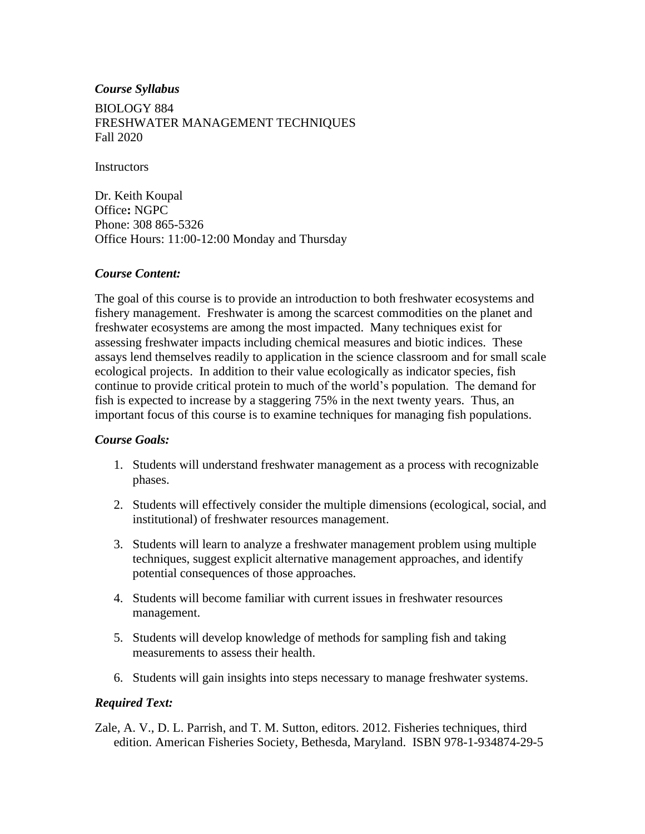### *Course Syllabus*

BIOLOGY 884 FRESHWATER MANAGEMENT TECHNIQUES Fall 2020

**Instructors** 

Dr. Keith Koupal Office**:** NGPC Phone: 308 865-5326 Office Hours: 11:00-12:00 Monday and Thursday

### *Course Content:*

The goal of this course is to provide an introduction to both freshwater ecosystems and fishery management. Freshwater is among the scarcest commodities on the planet and freshwater ecosystems are among the most impacted. Many techniques exist for assessing freshwater impacts including chemical measures and biotic indices. These assays lend themselves readily to application in the science classroom and for small scale ecological projects. In addition to their value ecologically as indicator species, fish continue to provide critical protein to much of the world's population. The demand for fish is expected to increase by a staggering 75% in the next twenty years. Thus, an important focus of this course is to examine techniques for managing fish populations.

#### *Course Goals:*

- 1. Students will understand freshwater management as a process with recognizable phases.
- 2. Students will effectively consider the multiple dimensions (ecological, social, and institutional) of freshwater resources management.
- 3. Students will learn to analyze a freshwater management problem using multiple techniques, suggest explicit alternative management approaches, and identify potential consequences of those approaches.
- 4. Students will become familiar with current issues in freshwater resources management.
- 5. Students will develop knowledge of methods for sampling fish and taking measurements to assess their health.
- 6. Students will gain insights into steps necessary to manage freshwater systems.

### *Required Text:*

Zale, A. V., D. L. Parrish, and T. M. Sutton, editors. 2012. Fisheries techniques, third edition. American Fisheries Society, Bethesda, Maryland. ISBN 978-1-934874-29-5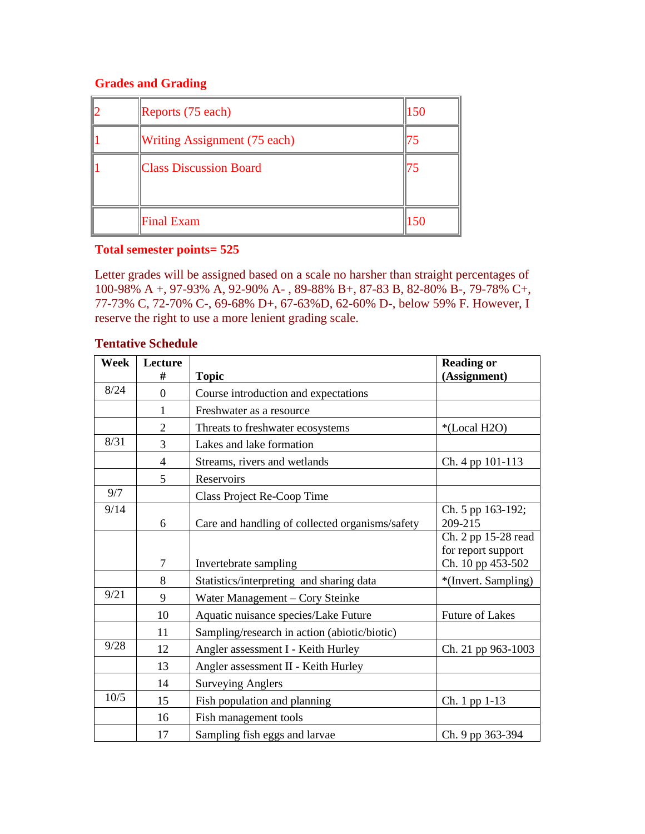# **Grades and Grading**

| Reports $(75$ each)                 | 150 |
|-------------------------------------|-----|
| <b>Writing Assignment (75 each)</b> | ר ו |
| <b>Class Discussion Board</b>       | 75  |
| <b>Final Exam</b>                   | 150 |

# **Total semester points= 525**

Letter grades will be assigned based on a scale no harsher than straight percentages of 100-98% A +, 97-93% A, 92-90% A- , 89-88% B+, 87-83 B, 82-80% B-, 79-78% C+, 77-73% C, 72-70% C-, 69-68% D+, 67-63%D, 62-60% D-, below 59% F. However, I reserve the right to use a more lenient grading scale.

### **Tentative Schedule**

| Week | Lecture        |                                                 | <b>Reading or</b>                                              |
|------|----------------|-------------------------------------------------|----------------------------------------------------------------|
|      | #              | <b>Topic</b>                                    | (Assignment)                                                   |
| 8/24 | $\theta$       | Course introduction and expectations            |                                                                |
|      |                | Freshwater as a resource                        |                                                                |
|      | 2              | Threats to freshwater ecosystems                | *(Local H2O)                                                   |
| 8/31 | 3              | Lakes and lake formation                        |                                                                |
|      | 4              | Streams, rivers and wetlands                    | Ch. 4 pp 101-113                                               |
|      | 5              | Reservoirs                                      |                                                                |
| 9/7  |                | Class Project Re-Coop Time                      |                                                                |
| 9/14 | 6              | Care and handling of collected organisms/safety | Ch. 5 pp 163-192;<br>209-215                                   |
|      | $\overline{7}$ | Invertebrate sampling                           | Ch. 2 pp 15-28 read<br>for report support<br>Ch. 10 pp 453-502 |
|      | 8              | Statistics/interpreting and sharing data        | *(Invert. Sampling)                                            |
| 9/21 | 9              | Water Management – Cory Steinke                 |                                                                |
|      | 10             | Aquatic nuisance species/Lake Future            | <b>Future of Lakes</b>                                         |
|      | 11             | Sampling/research in action (abiotic/biotic)    |                                                                |
| 9/28 | 12             | Angler assessment I - Keith Hurley              | Ch. 21 pp 963-1003                                             |
|      | 13             | Angler assessment II - Keith Hurley             |                                                                |
|      | 14             | <b>Surveying Anglers</b>                        |                                                                |
| 10/5 | 15             | Fish population and planning                    | Ch. 1 pp 1-13                                                  |
|      | 16             | Fish management tools                           |                                                                |
|      | 17             | Sampling fish eggs and larvae                   | Ch. 9 pp 363-394                                               |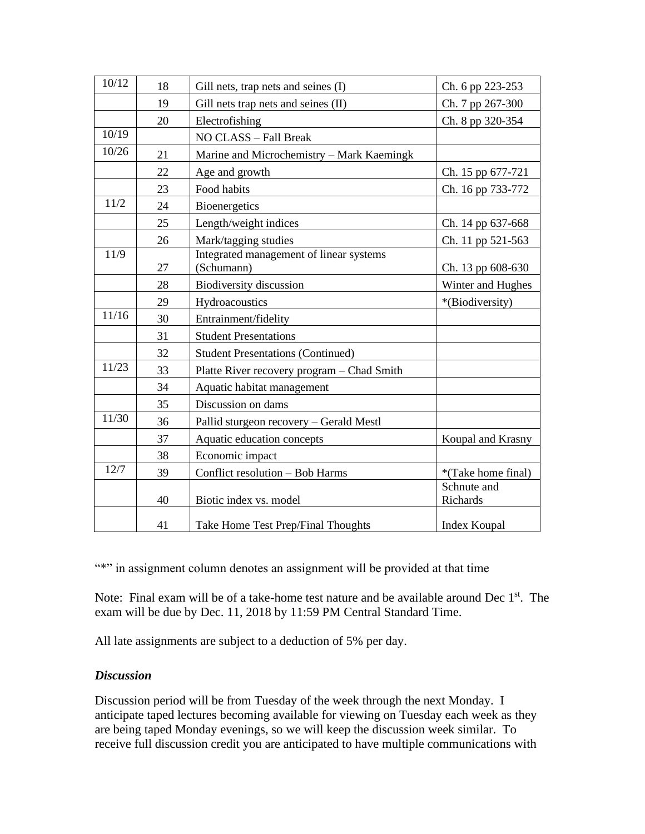| 10/12 | 18 | Gill nets, trap nets and seines (I)                   | Ch. 6 pp 223-253        |
|-------|----|-------------------------------------------------------|-------------------------|
|       | 19 | Gill nets trap nets and seines (II)                   | Ch. 7 pp 267-300        |
|       | 20 | Electrofishing                                        | Ch. 8 pp 320-354        |
| 10/19 |    | NO CLASS - Fall Break                                 |                         |
| 10/26 | 21 | Marine and Microchemistry - Mark Kaemingk             |                         |
|       | 22 | Age and growth                                        | Ch. 15 pp 677-721       |
|       | 23 | Food habits                                           | Ch. 16 pp 733-772       |
| 11/2  | 24 | Bioenergetics                                         |                         |
|       | 25 | Length/weight indices                                 | Ch. 14 pp 637-668       |
|       | 26 | Mark/tagging studies                                  | Ch. 11 pp 521-563       |
| 11/9  | 27 | Integrated management of linear systems<br>(Schumann) | Ch. 13 pp 608-630       |
|       | 28 | <b>Biodiversity discussion</b>                        | Winter and Hughes       |
|       | 29 | Hydroacoustics                                        | *(Biodiversity)         |
| 11/16 | 30 | Entrainment/fidelity                                  |                         |
|       | 31 | <b>Student Presentations</b>                          |                         |
|       | 32 | <b>Student Presentations (Continued)</b>              |                         |
| 11/23 | 33 | Platte River recovery program - Chad Smith            |                         |
|       | 34 | Aquatic habitat management                            |                         |
|       | 35 | Discussion on dams                                    |                         |
| 11/30 | 36 | Pallid sturgeon recovery - Gerald Mestl               |                         |
|       | 37 | Aquatic education concepts                            | Koupal and Krasny       |
|       | 38 | Economic impact                                       |                         |
| 12/7  | 39 | Conflict resolution - Bob Harms                       | *(Take home final)      |
|       | 40 | Biotic index vs. model                                | Schnute and<br>Richards |
|       | 41 | Take Home Test Prep/Final Thoughts                    | Index Koupal            |

"\*" in assignment column denotes an assignment will be provided at that time

Note: Final exam will be of a take-home test nature and be available around Dec 1<sup>st</sup>. The exam will be due by Dec. 11, 2018 by 11:59 PM Central Standard Time.

All late assignments are subject to a deduction of 5% per day.

# *Discussion*

Discussion period will be from Tuesday of the week through the next Monday. I anticipate taped lectures becoming available for viewing on Tuesday each week as they are being taped Monday evenings, so we will keep the discussion week similar. To receive full discussion credit you are anticipated to have multiple communications with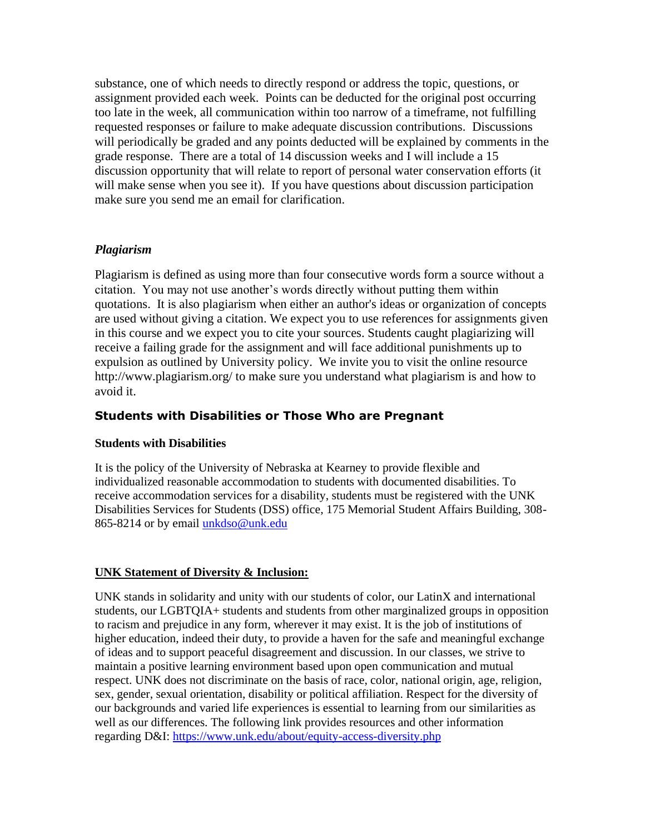substance, one of which needs to directly respond or address the topic, questions, or assignment provided each week. Points can be deducted for the original post occurring too late in the week, all communication within too narrow of a timeframe, not fulfilling requested responses or failure to make adequate discussion contributions. Discussions will periodically be graded and any points deducted will be explained by comments in the grade response. There are a total of 14 discussion weeks and I will include a 15 discussion opportunity that will relate to report of personal water conservation efforts (it will make sense when you see it). If you have questions about discussion participation make sure you send me an email for clarification.

# *Plagiarism*

Plagiarism is defined as using more than four consecutive words form a source without a citation. You may not use another's words directly without putting them within quotations. It is also plagiarism when either an author's ideas or organization of concepts are used without giving a citation. We expect you to use references for assignments given in this course and we expect you to cite your sources. Students caught plagiarizing will receive a failing grade for the assignment and will face additional punishments up to expulsion as outlined by [University policy.](http://aaunk.unk.edu/catalogs/current/acregdis.htm) We invite you to visit the online resource http://www.plagiarism.org/ to make sure you understand what plagiarism is and how to avoid it.

# **Students with Disabilities or Those Who are Pregnant**

### **Students with Disabilities**

It is the policy of the University of Nebraska at Kearney to provide flexible and individualized reasonable accommodation to students with documented disabilities. To receive accommodation services for a disability, students must be registered with the UNK Disabilities Services for Students (DSS) office, 175 Memorial Student Affairs Building, 308- 865-8214 or by email [unkdso@unk.edu](mailto:unkdso@unk.edu)

### **UNK Statement of Diversity & Inclusion:**

UNK stands in solidarity and unity with our students of color, our LatinX and international students, our LGBTQIA+ students and students from other marginalized groups in opposition to racism and prejudice in any form, wherever it may exist. It is the job of institutions of higher education, indeed their duty, to provide a haven for the safe and meaningful exchange of ideas and to support peaceful disagreement and discussion. In our classes, we strive to maintain a positive learning environment based upon open communication and mutual respect. UNK does not discriminate on the basis of race, color, national origin, age, religion, sex, gender, sexual orientation, disability or political affiliation. Respect for the diversity of our backgrounds and varied life experiences is essential to learning from our similarities as well as our differences. The following link provides resources and other information regarding D&I:<https://www.unk.edu/about/equity-access-diversity.php>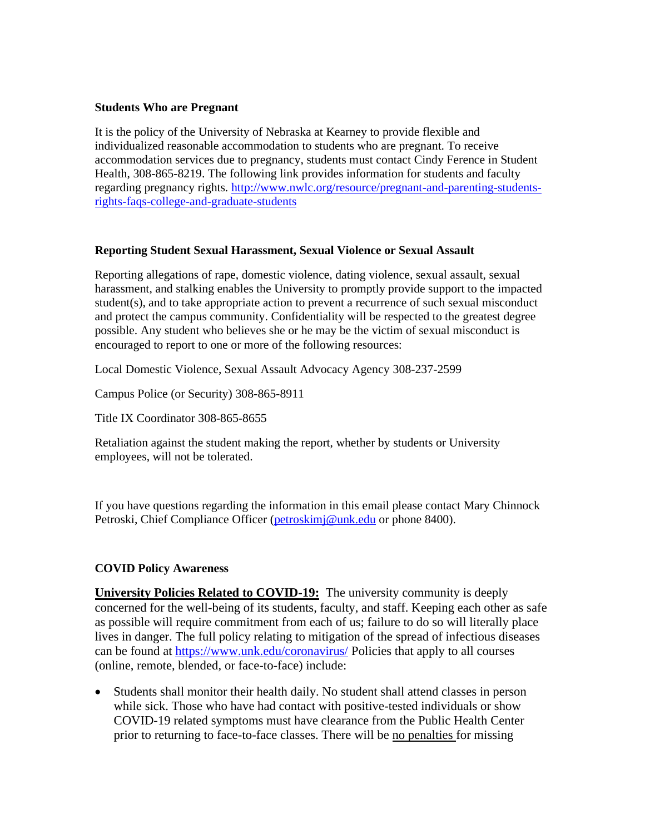### **Students Who are Pregnant**

It is the policy of the University of Nebraska at Kearney to provide flexible and individualized reasonable accommodation to students who are pregnant. To receive accommodation services due to pregnancy, students must contact Cindy Ference in Student Health, 308-865-8219. The following link provides information for students and faculty regarding pregnancy rights. [http://www.nwlc.org/resource/pregnant-and-parenting-students](https://urldefense.proofpoint.com/v2/url?u=http-3A__www.nwlc.org_resource_pregnant-2Dand-2Dparenting-2Dstudents-2Drights-2Dfaqs-2Dcollege-2Dand-2Dgraduate-2Dstudents&d=DwMFAg&c=Cu5g146wZdoqVuKpTNsYHeFX_rg6kWhlkLF8Eft-wwo&r=BJkIhAaMtWY7PlqIhIOyVw&m=RgBL3s2VNHfvD5ReMK2q_PhwYU8dbEt1vxs1BO4WkpQ&s=MmB91XAzaW-E7UPMXPGx9tWJQbTWJYyYzM8gLjhEzQ0&e=)[rights-faqs-college-and-graduate-students](https://urldefense.proofpoint.com/v2/url?u=http-3A__www.nwlc.org_resource_pregnant-2Dand-2Dparenting-2Dstudents-2Drights-2Dfaqs-2Dcollege-2Dand-2Dgraduate-2Dstudents&d=DwMFAg&c=Cu5g146wZdoqVuKpTNsYHeFX_rg6kWhlkLF8Eft-wwo&r=BJkIhAaMtWY7PlqIhIOyVw&m=RgBL3s2VNHfvD5ReMK2q_PhwYU8dbEt1vxs1BO4WkpQ&s=MmB91XAzaW-E7UPMXPGx9tWJQbTWJYyYzM8gLjhEzQ0&e=)

### **Reporting Student Sexual Harassment, Sexual Violence or Sexual Assault**

Reporting allegations of rape, domestic violence, dating violence, sexual assault, sexual harassment, and stalking enables the University to promptly provide support to the impacted student(s), and to take appropriate action to prevent a recurrence of such sexual misconduct and protect the campus community. Confidentiality will be respected to the greatest degree possible. Any student who believes she or he may be the victim of sexual misconduct is encouraged to report to one or more of the following resources:

Local Domestic Violence, Sexual Assault Advocacy Agency 308-237-2599

Campus Police (or Security) 308-865-8911

Title IX Coordinator 308-865-8655

Retaliation against the student making the report, whether by students or University employees, will not be tolerated.

If you have questions regarding the information in this email please contact Mary Chinnock Petroski, Chief Compliance Officer [\(petroskimj@unk.edu](mailto:petroskimj@unk.edu) or phone 8400).

### **COVID Policy Awareness**

**University Policies Related to COVID-19:** The university community is deeply concerned for the well-being of its students, faculty, and staff. Keeping each other as safe as possible will require commitment from each of us; failure to do so will literally place lives in danger. The full policy relating to mitigation of the spread of infectious diseases can be found at<https://www.unk.edu/coronavirus/> Policies that apply to all courses (online, remote, blended, or face-to-face) include:

• Students shall monitor their health daily. No student shall attend classes in person while sick. Those who have had contact with positive-tested individuals or show COVID-19 related symptoms must have clearance from the Public Health Center prior to returning to face-to-face classes. There will be no penalties for missing